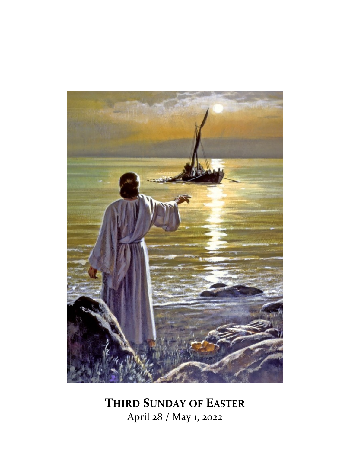

**THIRD SUNDAY OF EASTER** April 28 / May 1, 2022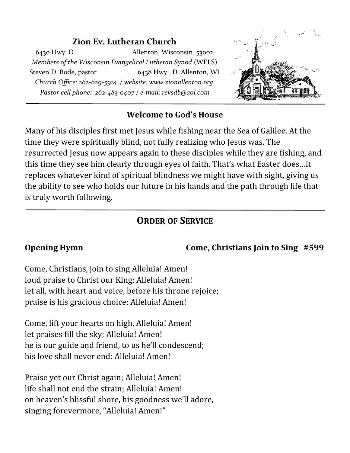#### **Zion Ev. Lutheran Church**

6430 Hwy. D Allenton, Wisconsin 53002 *Members of the Wisconsin Evangelical Lutheran Synod* (WELS) Steven D. Bode, pastor 6438 Hwy. D Allenton, WI *Church Office: 262-629-5914 / website: www.zionallenton.org Pastor cell phone: 262-483-0407 / e-mail: revsdb@aol.com*



#### **Welcome to God's House**

Many of his disciples first met Jesus while fishing near the Sea of Galilee. At the time they were spiritually blind, not fully realizing who Jesus was. The resurrected Jesus now appears again to these disciples while they are fishing, and this time they see him clearly through eyes of faith. That's what Easter does…it replaces whatever kind of spiritual blindness we might have with sight, giving us the ability to see who holds our future in his hands and the path through life that is truly worth following.

# **ORDER OF SERVICE**

### **Opening Hymn Come, Christians Join to Sing #599**

Come, Christians, join to sing Alleluia! Amen! loud praise to Christ our King; Alleluia! Amen! let all, with heart and voice, before his throne rejoice; praise is his gracious choice: Alleluia! Amen!

Come, lift your hearts on high, Alleluia! Amen! let praises fill the sky; Alleluia! Amen! he is our guide and friend, to us he'll condescend; his love shall never end: Alleluia! Amen!

Praise yet our Christ again; Alleluia! Amen! life shall not end the strain; Alleluia! Amen! on heaven's blissful shore, his goodness we'll adore, singing forevermore, "Alleluia! Amen!"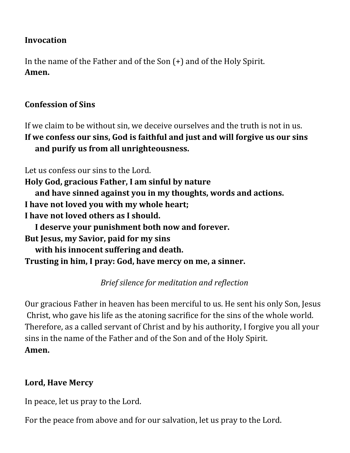#### **Invocation**

In the name of the Father and of the Son (+) and of the Holy Spirit. **Amen.**

#### **Confession of Sins**

If we claim to be without sin, we deceive ourselves and the truth is not in us. **If we confess our sins, God is faithful and just and will forgive us our sins and purify us from all unrighteousness.**

Let us confess our sins to the Lord. **Holy God, gracious Father, I am sinful by nature and have sinned against you in my thoughts, words and actions. I have not loved you with my whole heart; I have not loved others as I should. I deserve your punishment both now and forever. But Jesus, my Savior, paid for my sins with his innocent suffering and death. Trusting in him, I pray: God, have mercy on me, a sinner.**

*Brief silence for meditation and reflection*

Our gracious Father in heaven has been merciful to us. He sent his only Son, Jesus Christ, who gave his life as the atoning sacrifice for the sins of the whole world. Therefore, as a called servant of Christ and by his authority, I forgive you all your sins in the name of the Father and of the Son and of the Holy Spirit. **Amen.** 

### **Lord, Have Mercy**

In peace, let us pray to the Lord.

For the peace from above and for our salvation, let us pray to the Lord.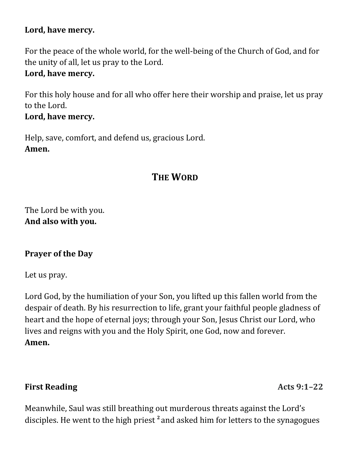#### **Lord, have mercy.**

For the peace of the whole world, for the well-being of the Church of God, and for the unity of all, let us pray to the Lord.

#### **Lord, have mercy.**

For this holy house and for all who offer here their worship and praise, let us pray to the Lord.

#### **Lord, have mercy.**

Help, save, comfort, and defend us, gracious Lord. **Amen.**

# **THE WORD**

The Lord be with you. **And also with you.**

#### **Prayer of the Day**

Let us pray.

Lord God, by the humiliation of your Son, you lifted up this fallen world from the despair of death. By his resurrection to life, grant your faithful people gladness of heart and the hope of eternal joys; through your Son, Jesus Christ our Lord, who lives and reigns with you and the Holy Spirit, one God, now and forever. **Amen.**

#### **First Reading Acts 9:1–22**

Meanwhile, Saul was still breathing out murderous threats against the Lord's disciples. He went to the high priest **<sup>2</sup>** and asked him for letters to the synagogues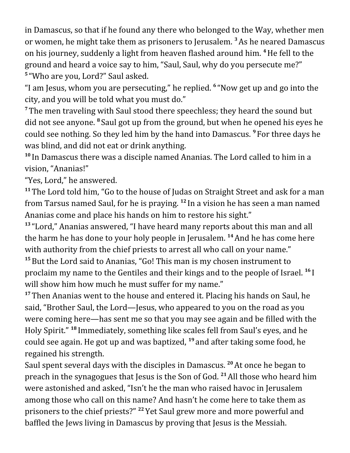in Damascus, so that if he found any there who belonged to the Way, whether men or women, he might take them as prisoners to Jerusalem. **<sup>3</sup>**As he neared Damascus on his journey, suddenly a light from heaven flashed around him. **<sup>4</sup>**He fell to the ground and heard a voice say to him, "Saul, Saul, why do you persecute me?" **5** "Who are you, Lord?" Saul asked.

"I am Jesus, whom you are persecuting," he replied. **<sup>6</sup>** "Now get up and go into the city, and you will be told what you must do."

**<sup>7</sup>** The men traveling with Saul stood there speechless; they heard the sound but did not see anyone. <sup>8</sup> Saul got up from the ground, but when he opened his eyes he could see nothing. So they led him by the hand into Damascus. **<sup>9</sup>** For three days he was blind, and did not eat or drink anything.

**<sup>10</sup>** In Damascus there was a disciple named Ananias. The Lord called to him in a vision, "Ananias!"

"Yes, Lord," he answered.

**<sup>11</sup>** The Lord told him, "Go to the house of Judas on Straight Street and ask for a man from Tarsus named Saul, for he is praying. **<sup>12</sup>** In a vision he has seen a man named Ananias come and place his hands on him to restore his sight."

**<sup>13</sup>** "Lord," Ananias answered, "I have heard many reports about this man and all the harm he has done to your holy people in Jerusalem. **<sup>14</sup>**And he has come here with authority from the chief priests to arrest all who call on your name." **<sup>15</sup>**But the Lord said to Ananias, "Go! This man is my chosen instrument to proclaim my name to the Gentiles and their kings and to the people of Israel. **<sup>16</sup>** I will show him how much he must suffer for my name."

**<sup>17</sup>** Then Ananias went to the house and entered it. Placing his hands on Saul, he said, "Brother Saul, the Lord—Jesus, who appeared to you on the road as you were coming here—has sent me so that you may see again and be filled with the Holy Spirit." **<sup>18</sup>** Immediately, something like scales fell from Saul's eyes, and he could see again. He got up and was baptized, **<sup>19</sup>** and after taking some food, he regained his strength.

Saul spent several days with the disciples in Damascus. **<sup>20</sup>**At once he began to preach in the synagogues that Jesus is the Son of God. **<sup>21</sup>**All those who heard him were astonished and asked, "Isn't he the man who raised havoc in Jerusalem among those who call on this name? And hasn't he come here to take them as prisoners to the chief priests?" **<sup>22</sup>** Yet Saul grew more and more powerful and baffled the Jews living in Damascus by proving that Jesus is the Messiah.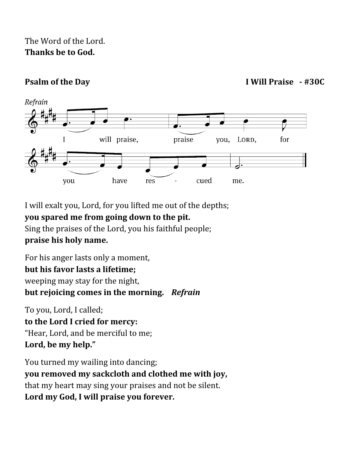## The Word of the Lord. **Thanks be to God.**

**Psalm of the Day I Will Praise - #30C**



I will exalt you, Lord, for you lifted me out of the depths; **you spared me from going down to the pit.** Sing the praises of the Lord, you his faithful people; **praise his holy name.**

For his anger lasts only a moment, **but his favor lasts a lifetime;** weeping may stay for the night, **but rejoicing comes in the morning.** *Refrain*

To you, Lord, I called; **to the Lord I cried for mercy:** "Hear, Lord, and be merciful to me; **Lord, be my help."**

You turned my wailing into dancing; **you removed my sackcloth and clothed me with joy,** that my heart may sing your praises and not be silent. **Lord my God, I will praise you forever.**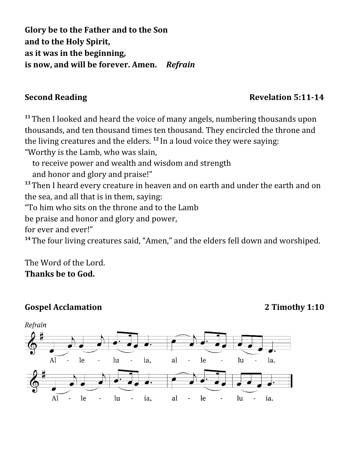**Glory be to the Father and to the Son and to the Holy Spirit, as it was in the beginning, is now, and will be forever. Amen.** *Refrain*

### **Second Reading**  Revelation 5:11-14

**<sup>11</sup>** Then I looked and heard the voice of many angels, numbering thousands upon thousands, and ten thousand times ten thousand. They encircled the throne and the living creatures and the elders. **<sup>12</sup>** In a loud voice they were saying: "Worthy is the Lamb, who was slain,

to receive power and wealth and wisdom and strength

and honor and glory and praise!"

**<sup>13</sup>** Then I heard every creature in heaven and on earth and under the earth and on the sea, and all that is in them, saying:

"To him who sits on the throne and to the Lamb

be praise and honor and glory and power,

for ever and ever!"

**<sup>14</sup>** The four living creatures said, "Amen," and the elders fell down and worshiped.

The Word of the Lord. **Thanks be to God.** 

#### **Gospel Acclamation 2 Timothy 1:10**

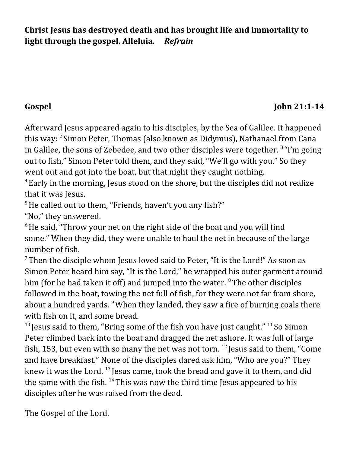**Christ Jesus has destroyed death and has brought life and immortality to light through the gospel. Alleluia.** *Refrain*

### Gospel John 21:1-14

Afterward Jesus appeared again to his disciples, by the Sea of Galilee. It happened this way: <sup>2</sup> Simon Peter, Thomas (also known as Didymus), Nathanael from Cana in Galilee, the sons of Zebedee, and two other disciples were together.<sup>3</sup> "I'm going out to fish," Simon Peter told them, and they said, "We'll go with you." So they went out and got into the boat, but that night they caught nothing.

<sup>4</sup> Early in the morning, Jesus stood on the shore, but the disciples did not realize that it was Jesus.

 $5$  He called out to them, "Friends, haven't you any fish?"

"No," they answered.

 $6$  He said, "Throw your net on the right side of the boat and you will find some." When they did, they were unable to haul the net in because of the large number of fish.

 $7$ Then the disciple whom Jesus loved said to Peter, "It is the Lord!" As soon as Simon Peter heard him say, "It is the Lord," he wrapped his outer garment around him (for he had taken it off) and jumped into the water.  $8$ The other disciples followed in the boat, towing the net full of fish, for they were not far from shore, about a hundred yards. <sup>9</sup>When they landed, they saw a fire of burning coals there with fish on it, and some bread.

<sup>10</sup> Jesus said to them, "Bring some of the fish you have just caught." <sup>11</sup> So Simon Peter climbed back into the boat and dragged the net ashore. It was full of large fish, 153, but even with so many the net was not torn. <sup>12</sup> Jesus said to them, "Come and have breakfast." None of the disciples dared ask him, "Who are you?" They knew it was the Lord. <sup>13</sup> Jesus came, took the bread and gave it to them, and did the same with the fish.  $^{14}$  This was now the third time Jesus appeared to his disciples after he was raised from the dead.

The Gospel of the Lord.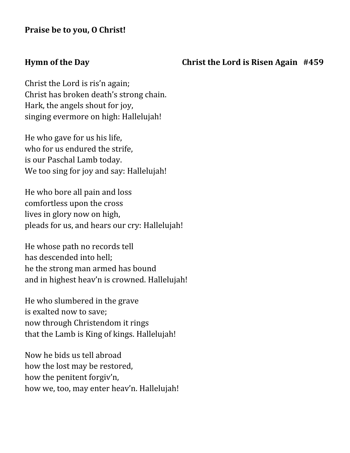#### **Hymn of the Day Christ the Lord is Risen Again #459**

Christ the Lord is ris'n again; Christ has broken death's strong chain. Hark, the angels shout for joy, singing evermore on high: Hallelujah!

He who gave for us his life, who for us endured the strife, is our Paschal Lamb today. We too sing for joy and say: Hallelujah!

He who bore all pain and loss comfortless upon the cross lives in glory now on high, pleads for us, and hears our cry: Hallelujah!

He whose path no records tell has descended into hell; he the strong man armed has bound and in highest heav'n is crowned. Hallelujah!

He who slumbered in the grave is exalted now to save; now through Christendom it rings that the Lamb is King of kings. Hallelujah!

Now he bids us tell abroad how the lost may be restored, how the penitent forgiv'n, how we, too, may enter heav'n. Hallelujah!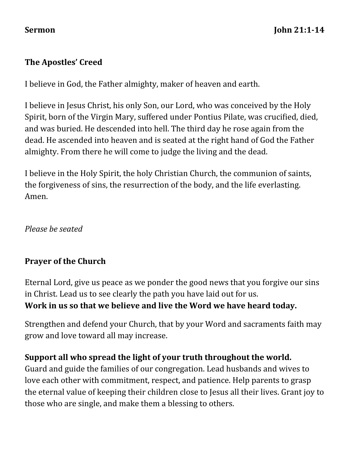### **The Apostles' Creed**

I believe in God, the Father almighty, maker of heaven and earth.

I believe in Jesus Christ, his only Son, our Lord, who was conceived by the Holy Spirit, born of the Virgin Mary, suffered under Pontius Pilate, was crucified, died, and was buried. He descended into hell. The third day he rose again from the dead. He ascended into heaven and is seated at the right hand of God the Father almighty. From there he will come to judge the living and the dead.

I believe in the Holy Spirit, the holy Christian Church, the communion of saints, the forgiveness of sins, the resurrection of the body, and the life everlasting. Amen.

*Please be seated* 

### **Prayer of the Church**

Eternal Lord, give us peace as we ponder the good news that you forgive our sins in Christ. Lead us to see clearly the path you have laid out for us. **Work in us so that we believe and live the Word we have heard today.**

Strengthen and defend your Church, that by your Word and sacraments faith may grow and love toward all may increase.

#### **Support all who spread the light of your truth throughout the world.**

Guard and guide the families of our congregation. Lead husbands and wives to love each other with commitment, respect, and patience. Help parents to grasp the eternal value of keeping their children close to Jesus all their lives. Grant joy to those who are single, and make them a blessing to others.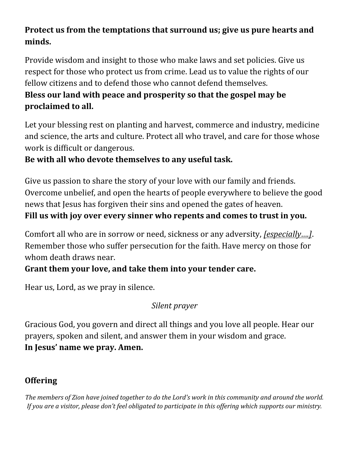# **Protect us from the temptations that surround us; give us pure hearts and minds.**

Provide wisdom and insight to those who make laws and set policies. Give us respect for those who protect us from crime. Lead us to value the rights of our fellow citizens and to defend those who cannot defend themselves. **Bless our land with peace and prosperity so that the gospel may be proclaimed to all.**

Let your blessing rest on planting and harvest, commerce and industry, medicine and science, the arts and culture. Protect all who travel, and care for those whose work is difficult or dangerous.

## **Be with all who devote themselves to any useful task.**

Give us passion to share the story of your love with our family and friends. Overcome unbelief, and open the hearts of people everywhere to believe the good news that Jesus has forgiven their sins and opened the gates of heaven. **Fill us with joy over every sinner who repents and comes to trust in you.**

Comfort all who are in sorrow or need, sickness or any adversity, *[especially….]*. Remember those who suffer persecution for the faith. Have mercy on those for whom death draws near.

# **Grant them your love, and take them into your tender care.**

Hear us, Lord, as we pray in silence.

# *Silent prayer*

Gracious God, you govern and direct all things and you love all people. Hear our prayers, spoken and silent, and answer them in your wisdom and grace. **In Jesus' name we pray. Amen.**

# **Offering**

*The members of Zion have joined together to do the Lord's work in this community and around the world. If you are a visitor, please don't feel obligated to participate in this offering which supports our ministry.*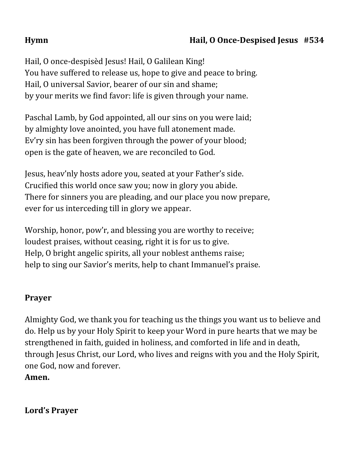## **Hymn Hail, O Once-Despised Jesus #534**

Hail, O once-despisèd Jesus! Hail, O Galilean King! You have suffered to release us, hope to give and peace to bring. Hail, O universal Savior, bearer of our sin and shame; by your merits we find favor: life is given through your name.

Paschal Lamb, by God appointed, all our sins on you were laid; by almighty love anointed, you have full atonement made. Ev'ry sin has been forgiven through the power of your blood; open is the gate of heaven, we are reconciled to God.

Jesus, heav'nly hosts adore you, seated at your Father's side. Crucified this world once saw you; now in glory you abide. There for sinners you are pleading, and our place you now prepare, ever for us interceding till in glory we appear.

Worship, honor, pow'r, and blessing you are worthy to receive; loudest praises, without ceasing, right it is for us to give. Help, O bright angelic spirits, all your noblest anthems raise; help to sing our Savior's merits, help to chant Immanuel's praise.

#### **Prayer**

Almighty God, we thank you for teaching us the things you want us to believe and do. Help us by your Holy Spirit to keep your Word in pure hearts that we may be strengthened in faith, guided in holiness, and comforted in life and in death, through Jesus Christ, our Lord, who lives and reigns with you and the Holy Spirit, one God, now and forever.

**Amen.** 

**Lord's Prayer**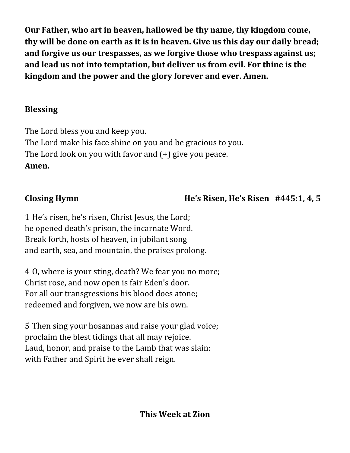**Our Father, who art in heaven, hallowed be thy name, thy kingdom come, thy will be done on earth as it is in heaven. Give us this day our daily bread; and forgive us our trespasses, as we forgive those who trespass against us; and lead us not into temptation, but deliver us from evil. For thine is the kingdom and the power and the glory forever and ever. Amen.**

# **Blessing**

The Lord bless you and keep you. The Lord make his face shine on you and be gracious to you. The Lord look on you with favor and (+) give you peace. **Amen.**

# **Closing Hymn He's Risen, He's Risen #445:1, 4, 5**

1 He's risen, he's risen, Christ Jesus, the Lord; he opened death's prison, the incarnate Word. Break forth, hosts of heaven, in jubilant song and earth, sea, and mountain, the praises prolong.

4 O, where is your sting, death? We fear you no more; Christ rose, and now open is fair Eden's door. For all our transgressions his blood does atone; redeemed and forgiven, we now are his own.

5 Then sing your hosannas and raise your glad voice; proclaim the blest tidings that all may rejoice. Laud, honor, and praise to the Lamb that was slain: with Father and Spirit he ever shall reign.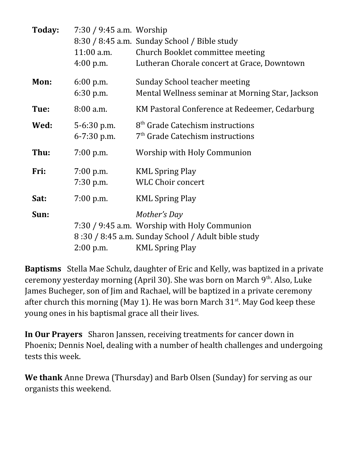| Today: | $7:30 / 9:45$ a.m. Worship<br>$11:00$ a.m.<br>$4:00$ p.m. | 8:30 / 8:45 a.m. Sunday School / Bible study<br><b>Church Booklet committee meeting</b><br>Lutheran Chorale concert at Grace, Downtown       |
|--------|-----------------------------------------------------------|----------------------------------------------------------------------------------------------------------------------------------------------|
| Mon:   | $6:00$ p.m.<br>$6:30$ p.m.                                | Sunday School teacher meeting<br>Mental Wellness seminar at Morning Star, Jackson                                                            |
| Tue:   | $8:00$ a.m.                                               | KM Pastoral Conference at Redeemer, Cedarburg                                                                                                |
| Wed:   | $5 - 6:30$ p.m.<br>6-7:30 p.m.                            | 8 <sup>th</sup> Grade Catechism instructions<br>7 <sup>th</sup> Grade Catechism instructions                                                 |
| Thu:   | $7:00$ p.m.                                               | Worship with Holy Communion                                                                                                                  |
| Fri:   | $7:00$ p.m.<br>$7:30$ p.m.                                | <b>KML Spring Play</b><br><b>WLC Choir concert</b>                                                                                           |
| Sat:   | $7:00$ p.m.                                               | <b>KML Spring Play</b>                                                                                                                       |
| Sun:   | $2:00$ p.m.                                               | Mother's Day<br>7:30 / 9:45 a.m. Worship with Holy Communion<br>8:30 / 8:45 a.m. Sunday School / Adult bible study<br><b>KML Spring Play</b> |

**Baptisms** Stella Mae Schulz, daughter of Eric and Kelly, was baptized in a private ceremony yesterday morning (April 30). She was born on March 9<sup>th</sup>. Also, Luke James Bucheger, son of Jim and Rachael, will be baptized in a private ceremony after church this morning (May 1). He was born March  $31<sup>st</sup>$ . May God keep these young ones in his baptismal grace all their lives.

**In Our Prayers** Sharon Janssen, receiving treatments for cancer down in Phoenix; Dennis Noel, dealing with a number of health challenges and undergoing tests this week.

**We thank** Anne Drewa (Thursday) and Barb Olsen (Sunday) for serving as our organists this weekend.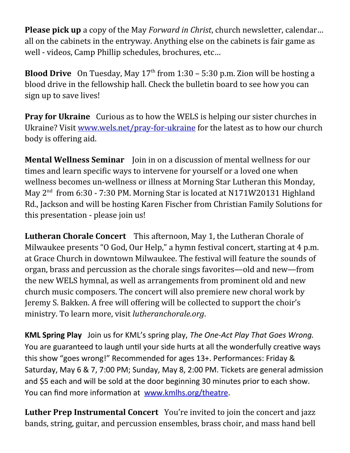**Please pick up** a copy of the May *Forward in Christ*, church newsletter, calendar… all on the cabinets in the entryway. Anything else on the cabinets is fair game as well - videos, Camp Phillip schedules, brochures, etc…

**Blood Drive** On Tuesday, May  $17<sup>th</sup>$  from  $1:30 - 5:30$  p.m. Zion will be hosting a blood drive in the fellowship hall. Check the bulletin board to see how you can sign up to save lives!

**Pray for Ukraine** Curious as to how the WELS is helping our sister churches in Ukraine? Visit www.wels.net/pray-for-ukraine for the latest as to how our church body is offering aid.

**Mental Wellness Seminar** Join in on a discussion of mental wellness for our times and learn specific ways to intervene for yourself or a loved one when wellness becomes un-wellness or illness at Morning Star Lutheran this Monday, May 2<sup>nd</sup> from 6:30 - 7:30 PM. Morning Star is located at N171W20131 Highland Rd., Jackson and will be hosting Karen Fischer from Christian Family Solutions for this presentation - please join us!

**Lutheran Chorale Concert** This afternoon, May 1, the Lutheran Chorale of Milwaukee presents "O God, Our Help," a hymn festival concert, starting at 4 p.m. at Grace Church in downtown Milwaukee. The festival will feature the sounds of organ, brass and percussion as the chorale sings favorites—old and new—from the new WELS hymnal, as well as arrangements from prominent old and new church music composers. The concert will also premiere new choral work by Jeremy S. Bakken. A free will offering will be collected to support the choir's ministry. To learn more, visit *lutheranchorale.org*.

**KML Spring Play** Join us for KML's spring play, *The One-Act Play That Goes Wrong.* You are guaranteed to laugh until your side hurts at all the wonderfully creative ways this show "goes wrong!" Recommended for ages 13+. Performances: Friday & Saturday, May 6 & 7, 7:00 PM; Sunday, May 8, 2:00 PM. Tickets are general admission and \$5 each and will be sold at the door beginning 30 minutes prior to each show. You can find more information at [www.kmlhs.org/theatre](http://www.kmlhs.org/theatre).

**Luther Prep Instrumental Concert** You're invited to join the concert and jazz bands, string, guitar, and percussion ensembles, brass choir, and mass hand bell